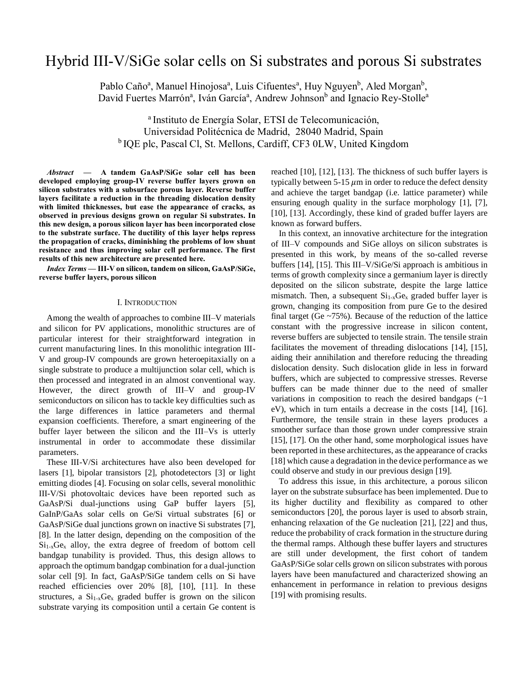# Hybrid III-V/SiGe solar cells on Si substrates and porous Si substrates

Pablo Caño<sup>a</sup>, Manuel Hinojosa<sup>a</sup>, Luis Cifuentes<sup>a</sup>, Huy Nguyen<sup>b</sup>, Aled Morgan<sup>b</sup>, David Fuertes Marrón<sup>a</sup>, Iván García<sup>a</sup>, Andrew Johnson<sup>b</sup> and Ignacio Rey-Stolle<sup>a</sup>

a Instituto de Energía Solar, ETSI de Telecomunicación, Universidad Politécnica de Madrid, 28040 Madrid, Spain <sup>b</sup> IQE plc, Pascal Cl, St. Mellons, Cardiff, CF3 0LW, United Kingdom

*Abstract* **— A tandem GaAsP/SiGe solar cell has been developed employing group-IV reverse buffer layers grown on silicon substrates with a subsurface porous layer. Reverse buffer layers facilitate a reduction in the threading dislocation density with limited thicknesses, but ease the appearance of cracks, as observed in previous designs grown on regular Si substrates. In this new design, a porous silicon layer has been incorporated close to the substrate surface. The ductility of this layer helps repress the propagation of cracks, diminishing the problems of low shunt resistance and thus improving solar cell performance. The first results of this new architecture are presented here.**

*Index Terms —* **III-V on silicon, tandem on silicon, GaAsP/SiGe, reverse buffer layers, porous silicon**

## I. INTRODUCTION

Among the wealth of approaches to combine III–V materials and silicon for PV applications, monolithic structures are of particular interest for their straightforward integration in current manufacturing lines. In this monolithic integration III-V and group-IV compounds are grown heteroepitaxially on a single substrate to produce a multijunction solar cell, which is then processed and integrated in an almost conventional way. However, the direct growth of III–V and group-IV semiconductors on silicon has to tackle key difficulties such as the large differences in lattice parameters and thermal expansion coefficients. Therefore, a smart engineering of the buffer layer between the silicon and the III–Vs is utterly instrumental in order to accommodate these dissimilar parameters.

These III-V/Si architectures have also been developed for lasers [1], bipolar transistors [2], photodetectors [3] or light emitting diodes [4]. Focusing on solar cells, several monolithic III-V/Si photovoltaic devices have been reported such as GaAsP/Si dual-junctions using GaP buffer layers [5], GaInP/GaAs solar cells on Ge/Si virtual substrates [6] or GaAsP/SiGe dual junctions grown on inactive Si substrates [7], [8]. In the latter design, depending on the composition of the  $Si<sub>1-x</sub>Ge<sub>x</sub>$  alloy, the extra degree of freedom of bottom cell bandgap tunability is provided. Thus, this design allows to approach the optimum bandgap combination for a dual-junction solar cell [9]. In fact, GaAsP/SiGe tandem cells on Si have reached efficiencies over 20% [8], [10], [11]. In these structures, a  $Si<sub>1-x</sub>Ge<sub>x</sub>$  graded buffer is grown on the silicon substrate varying its composition until a certain Ge content is reached [10], [12], [13]. The thickness of such buffer layers is typically between 5-15  $\mu$ m in order to reduce the defect density and achieve the target bandgap (i.e. lattice parameter) while ensuring enough quality in the surface morphology [1], [7], [10], [13]. Accordingly, these kind of graded buffer layers are known as forward buffers.

In this context, an innovative architecture for the integration of III–V compounds and SiGe alloys on silicon substrates is presented in this work, by means of the so-called reverse buffers [14], [15]. This III–V/SiGe/Si approach is ambitious in terms of growth complexity since a germanium layer is directly deposited on the silicon substrate, despite the large lattice mismatch. Then, a subsequent  $Si<sub>1-x</sub>Ge<sub>x</sub>$  graded buffer layer is grown, changing its composition from pure Ge to the desired final target (Ge  $~15\%$ ). Because of the reduction of the lattice constant with the progressive increase in silicon content, reverse buffers are subjected to tensile strain. The tensile strain facilitates the movement of threading dislocations [14], [15], aiding their annihilation and therefore reducing the threading dislocation density. Such dislocation glide in less in forward buffers, which are subjected to compressive stresses. Reverse buffers can be made thinner due to the need of smaller variations in composition to reach the desired bandgaps (~1 eV), which in turn entails a decrease in the costs [14], [16]. Furthermore, the tensile strain in these layers produces a smoother surface than those grown under compressive strain [15], [17]. On the other hand, some morphological issues have been reported in these architectures, as the appearance of cracks [18] which cause a degradation in the device performance as we could observe and study in our previous design [19].

To address this issue, in this architecture, a porous silicon layer on the substrate subsurface has been implemented. Due to its higher ductility and flexibility as compared to other semiconductors [20], the porous layer is used to absorb strain, enhancing relaxation of the Ge nucleation [21], [22] and thus, reduce the probability of crack formation in the structure during the thermal ramps. Although these buffer layers and structures are still under development, the first cohort of tandem GaAsP/SiGe solar cells grown on silicon substrates with porous layers have been manufactured and characterized showing an enhancement in performance in relation to previous designs [19] with promising results.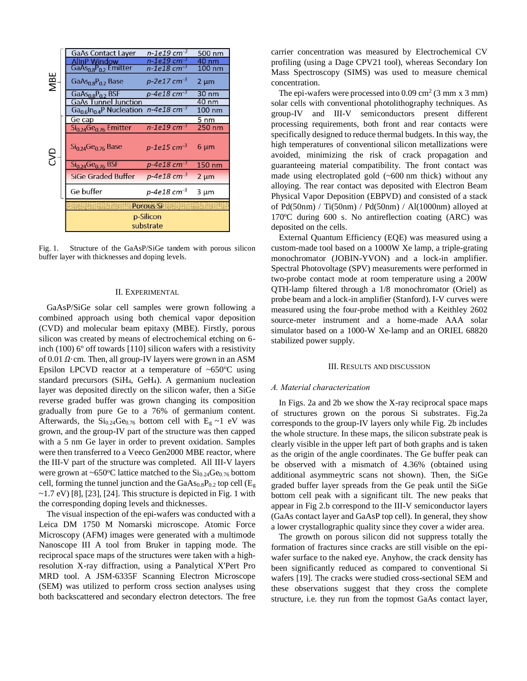|     | <b>GaAs Contact Layer</b>                                                   | $n - 1e19$ cm <sup>-3</sup> | 500 nm          |
|-----|-----------------------------------------------------------------------------|-----------------------------|-----------------|
| MBE | AllnP Window                                                                | $n - 1e19$ cm <sup>-3</sup> | 40 nm           |
|     | GaAs <sub>0.8</sub> P <sub>0.2</sub> Emitter                                | $n - 1e18$ cm <sup>-3</sup> | 100 nm          |
|     | GaAs <sub>0.8</sub> P <sub>0.2</sub> Base                                   | $p-2e17$ cm <sup>-3</sup>   | $2 \mu m$       |
|     | GaAs <sub>0.8</sub> P <sub>0.2</sub> BSF                                    | $p-4e18$ cm <sup>-3</sup>   | 30 nm           |
|     | <b>GaAs Tunnel Junction</b>                                                 |                             | $40 \text{ nm}$ |
|     | Ga <sub>0.6</sub> In <sub>0.4</sub> P Nucleation $n$ -4e18 cm <sup>-3</sup> |                             | 100 nm          |
|     | Ge cap                                                                      |                             | 5 <sub>nm</sub> |
|     | Si <sub>0.24</sub> Ge <sub>0.76</sub> Emitter                               | $n - 1e19$ cm <sup>-3</sup> | 250 nm          |
| SD  | Si <sub>0.24</sub> Ge <sub>0.76</sub> Base                                  | $p-1e15$ cm <sup>-3</sup>   | $6 \mu m$       |
|     | $Si0.24Ge0.76 BSF$                                                          | $p-4e18$ cm <sup>-3</sup>   | 150 nm          |
|     | <b>SiGe Graded Buffer</b>                                                   | $p-4e18$ cm <sup>-3</sup>   | $2 \mu m$       |
|     | Ge buffer                                                                   | p-4e18 cm $3$               | $3 \mu m$       |
|     | <b>Porous Si</b>                                                            |                             |                 |
|     | p-Silicon<br>substrate                                                      |                             |                 |

Fig. 1. Structure of the GaAsP/SiGe tandem with porous silicon buffer layer with thicknesses and doping levels.

## II. EXPERIMENTAL

GaAsP/SiGe solar cell samples were grown following a combined approach using both chemical vapor deposition (CVD) and molecular beam epitaxy (MBE). Firstly, porous silicon was created by means of electrochemical etching on 6 inch (100) 6º off towards [110] silicon wafers with a resistivity of 0.01  $\Omega$ ·cm. Then, all group-IV layers were grown in an ASM Epsilon LPCVD reactor at a temperature of  $~650^{\circ}$ C using standard precursors (SiH4, GeH4). A germanium nucleation layer was deposited directly on the silicon wafer, then a SiGe reverse graded buffer was grown changing its composition gradually from pure Ge to a 76% of germanium content. Afterwards, the  $Si<sub>0.24</sub>Ge<sub>0.76</sub>$  bottom cell with  $E<sub>g</sub> \sim 1$  eV was grown, and the group-IV part of the structure was then capped with a 5 nm Ge layer in order to prevent oxidation. Samples were then transferred to a Veeco Gen2000 MBE reactor, where the III-V part of the structure was completed. All III-V layers were grown at ~650 $^{\circ}$ C lattice matched to the Si<sub>0.24</sub>Ge<sub>0.76</sub> bottom cell, forming the tunnel junction and the  $GaAs_{0.8}P_{0.2}$  top cell ( $E_g$  $\sim$ 1.7 eV) [8], [23], [24]. This structure is depicted in Fig. 1 with the corresponding doping levels and thicknesses.

The visual inspection of the epi-wafers was conducted with a Leica DM 1750 M Nomarski microscope. Atomic Force Microscopy (AFM) images were generated with a multimode Nanoscope III A tool from Bruker in tapping mode. The reciprocal space maps of the structures were taken with a highresolution X‐ray diffraction, using a Panalytical X'Pert Pro MRD tool. A JSM-6335F Scanning Electron Microscope (SEM) was utilized to perform cross section analyses using both backscattered and secondary electron detectors. The free carrier concentration was measured by Electrochemical CV profiling (using a Dage CPV21 tool), whereas Secondary Ion Mass Spectroscopy (SIMS) was used to measure chemical concentration.

The epi-wafers were processed into  $0.09 \text{ cm}^2 (3 \text{ mm} \times 3 \text{ mm})$ solar cells with conventional photolithography techniques. As group-IV and III-V semiconductors present different processing requirements, both front and rear contacts were specifically designed to reduce thermal budgets. In this way, the high temperatures of conventional silicon metallizations were avoided, minimizing the risk of crack propagation and guaranteeing material compatibility. The front contact was made using electroplated gold (~600 nm thick) without any alloying. The rear contact was deposited with Electron Beam Physical Vapor Deposition (EBPVD) and consisted of a stack of Pd(50nm) / Ti(50nm) / Pd(50nm) / Al(1000nm) alloyed at 170ºC during 600 s. No antireflection coating (ARC) was deposited on the cells.

External Quantum Efficiency (EQE) was measured using a custom-made tool based on a 1000W Xe lamp, a triple-grating monochromator (JOBIN-YVON) and a lock-in amplifier. Spectral Photovoltage (SPV) measurements were performed in two-probe contact mode at room temperature using a 200W QTH-lamp filtered through a 1/8 monochromator (Oriel) as probe beam and a lock-in amplifier (Stanford). I-V curves were measured using the four-probe method with a Keithley 2602 source-meter instrument and a home-made AAA solar simulator based on a 1000-W Xe-lamp and an ORIEL 68820 stabilized power supply.

### III. RESULTS AND DISCUSSION

## *A. Material characterization*

In Figs. 2a and 2b we show the X-ray reciprocal space maps of structures grown on the porous Si substrates. Fig.2a corresponds to the group-IV layers only while Fig. 2b includes the whole structure. In these maps, the silicon substrate peak is clearly visible in the upper left part of both graphs and is taken as the origin of the angle coordinates. The Ge buffer peak can be observed with a mismatch of 4.36% (obtained using additional asymmeytric scans not shown). Then, the SiGe graded buffer layer spreads from the Ge peak until the SiGe bottom cell peak with a significant tilt. The new peaks that appear in Fig 2.b correspond to the III-V semiconductor layers (GaAs contact layer and GaAsP top cell). In general, they show a lower crystallographic quality since they cover a wider area.

The growth on porous silicon did not suppress totally the formation of fractures since cracks are still visible on the epiwafer surface to the naked eye. Anyhow, the crack density has been significantly reduced as compared to conventional Si wafers [19]. The cracks were studied cross-sectional SEM and these observations suggest that they cross the complete structure, i.e. they run from the topmost GaAs contact layer,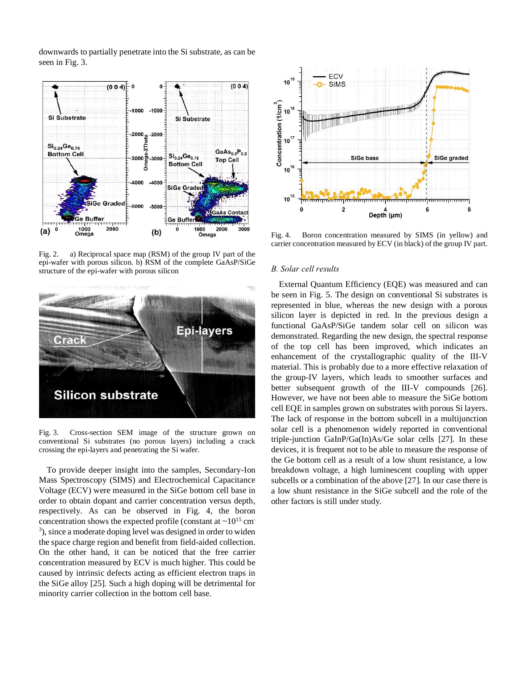downwards to partially penetrate into the Si substrate, as can be seen in Fig. 3.



Fig. 2. a) Reciprocal space map (RSM) of the group IV part of the epi-wafer with porous silicon. b) RSM of the complete GaAsP/SiGe structure of the epi-wafer with porous silicon



Fig. 3. Cross-section SEM image of the structure grown on conventional Si substrates (no porous layers) including a crack crossing the epi-layers and penetrating the Si wafer.

To provide deeper insight into the samples, Secondary-Ion Mass Spectroscopy (SIMS) and Electrochemical Capacitance Voltage (ECV) were measured in the SiGe bottom cell base in order to obtain dopant and carrier concentration versus depth, respectively. As can be observed in Fig. 4, the boron concentration shows the expected profile (constant at  $\sim 10^{15}$  cm<sup>-</sup> 3 ), since a moderate doping level was designed in order to widen the space charge region and benefit from field-aided collection. On the other hand, it can be noticed that the free carrier concentration measured by ECV is much higher. This could be caused by intrinsic defects acting as efficient electron traps in the SiGe alloy [25]. Such a high doping will be detrimental for minority carrier collection in the bottom cell base.



Fig. 4. Boron concentration measured by SIMS (in yellow) and carrier concentration measured by ECV (in black) of the group IV part.

# *B. Solar cell results*

External Quantum Efficiency (EQE) was measured and can be seen in Fig. 5. The design on conventional Si substrates is represented in blue, whereas the new design with a porous silicon layer is depicted in red. In the previous design a functional GaAsP/SiGe tandem solar cell on silicon was demonstrated. Regarding the new design, the spectral response of the top cell has been improved, which indicates an enhancement of the crystallographic quality of the III-V material. This is probably due to a more effective relaxation of the group-IV layers, which leads to smoother surfaces and better subsequent growth of the III-V compounds [26]. However, we have not been able to measure the SiGe bottom cell EQE in samples grown on substrates with porous Si layers. The lack of response in the bottom subcell in a multijunction solar cell is a phenomenon widely reported in conventional triple-junction GaInP/Ga(In)As/Ge solar cells [27]. In these devices, it is frequent not to be able to measure the response of the Ge bottom cell as a result of a low shunt resistance, a low breakdown voltage, a high luminescent coupling with upper subcells or a combination of the above [27]. In our case there is a low shunt resistance in the SiGe subcell and the role of the other factors is still under study.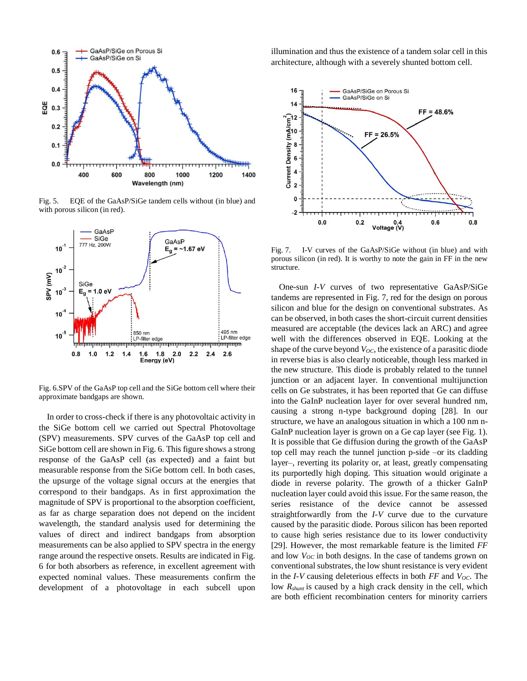

Fig. 5. EQE of the GaAsP/SiGe tandem cells without (in blue) and with porous silicon (in red).



Fig. 6.SPV of the GaAsP top cell and the SiGe bottom cell where their approximate bandgaps are shown.

In order to cross-check if there is any photovoltaic activity in the SiGe bottom cell we carried out Spectral Photovoltage (SPV) measurements. SPV curves of the GaAsP top cell and SiGe bottom cell are shown in Fig. 6. This figure shows a strong response of the GaAsP cell (as expected) and a faint but measurable response from the SiGe bottom cell. In both cases, the upsurge of the voltage signal occurs at the energies that correspond to their bandgaps. As in first approximation the magnitude of SPV is proportional to the absorption coefficient, as far as charge separation does not depend on the incident wavelength, the standard analysis used for determining the values of direct and indirect bandgaps from absorption measurements can be also applied to SPV spectra in the energy range around the respective onsets. Results are indicated in Fig. 6 for both absorbers as reference, in excellent agreement with expected nominal values. These measurements confirm the development of a photovoltage in each subcell upon illumination and thus the existence of a tandem solar cell in this architecture, although with a severely shunted bottom cell.



Fig. 7. I-V curves of the GaAsP/SiGe without (in blue) and with porous silicon (in red). It is worthy to note the gain in FF in the new structure.

One-sun *I-V* curves of two representative GaAsP/SiGe tandems are represented in Fig. 7, red for the design on porous silicon and blue for the design on conventional substrates. As can be observed, in both cases the short-circuit current densities measured are acceptable (the devices lack an ARC) and agree well with the differences observed in EQE. Looking at the shape of the curve beyond *VOC*, the existence of a parasitic diode in reverse bias is also clearly noticeable, though less marked in the new structure. This diode is probably related to the tunnel junction or an adjacent layer. In conventional multijunction cells on Ge substrates, it has been reported that Ge can diffuse into the GaInP nucleation layer for over several hundred nm, causing a strong n-type background doping [28]. In our structure, we have an analogous situation in which a 100 nm n-GaInP nucleation layer is grown on a Ge cap layer (see Fig. 1). It is possible that Ge diffusion during the growth of the GaAsP top cell may reach the tunnel junction p-side –or its cladding layer–, reverting its polarity or, at least, greatly compensating its purportedly high doping. This situation would originate a diode in reverse polarity. The growth of a thicker GaInP nucleation layer could avoid this issue. For the same reason, the series resistance of the device cannot be assessed straightforwardly from the *I-V* curve due to the curvature caused by the parasitic diode. Porous silicon has been reported to cause high series resistance due to its lower conductivity [29]. However, the most remarkable feature is the limited *FF* and low  $V_{OC}$  in both designs. In the case of tandems grown on conventional substrates, the low shunt resistance is very evident in the *I-V* causing deleterious effects in both *FF* and *VOC*. The low *Rshunt* is caused by a high crack density in the cell, which are both efficient recombination centers for minority carriers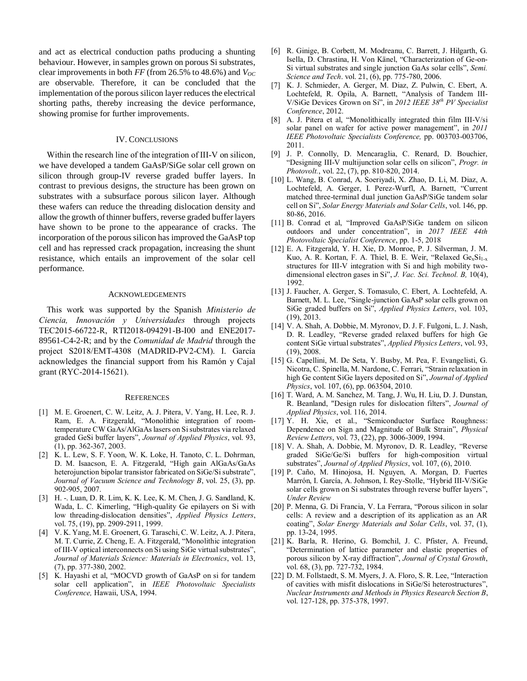and act as electrical conduction paths producing a shunting behaviour. However, in samples grown on porous Si substrates, clear improvements in both  $FF$  (from 26.5% to 48.6%) and  $V_{OC}$ are observable. Therefore, it can be concluded that the implementation of the porous silicon layer reduces the electrical shorting paths, thereby increasing the device performance, showing promise for further improvements.

# IV. CONCLUSIONS

Within the research line of the integration of III-V on silicon, we have developed a tandem GaAsP/SiGe solar cell grown on silicon through group-IV reverse graded buffer layers. In contrast to previous designs, the structure has been grown on substrates with a subsurface porous silicon layer. Although these wafers can reduce the threading dislocation density and allow the growth of thinner buffers, reverse graded buffer layers have shown to be prone to the appearance of cracks. The incorporation of the porous silicon has improved the GaAsP top cell and has repressed crack propagation, increasing the shunt resistance, which entails an improvement of the solar cell performance.

### ACKNOWLEDGEMENTS

This work was supported by the Spanish *Ministerio de Ciencia, Innovación y Universidades* through projects TEC2015-66722-R, RTI2018-094291-B-I00 and ENE2017- 89561-C4-2-R; and by the *Comunidad de Madrid* through the project S2018/EMT-4308 (MADRID-PV2-CM). I. García acknowledges the financial support from his Ramón y Cajal grant (RYC-2014-15621).

#### **REFERENCES**

- [1] M. E. Groenert, C. W. Leitz, A. J. Pitera, V. Yang, H. Lee, R. J. Ram, E. A. Fitzgerald, "Monolithic integration of roomtemperature CW GaAs/AlGaAs lasers on Si substrates via relaxed graded GeSi buffer layers", *Journal of Applied Physics*, vol. 93, (1), pp. 362-367, 2003.
- [2] K. L. Lew, S. F. Yoon, W. K. Loke, H. Tanoto, C. L. Dohrman, D. M. Isaacson, E. A. Fitzgerald, "High gain AlGaAs/GaAs heterojunction bipolar transistor fabricated on SiGe/Si substrate", *Journal of Vacuum Science and Technology B*, vol. 25, (3), pp. 902-905, 2007.
- [3] H. -. Luan, D. R. Lim, K. K. Lee, K. M. Chen, J. G. Sandland, K. Wada, L. C. Kimerling, "High-quality Ge epilayers on Si with low threading-dislocation densities", *Applied Physics Letters*, vol. 75, (19), pp. 2909-2911, 1999.
- [4] V. K. Yang, M. E. Groenert, G. Taraschi, C. W. Leitz, A. J. Pitera, M. T. Currie, Z. Cheng, E. A. Fitzgerald, "Monolithic integration of III-V optical interconnects on Si using SiGe virtual substrates", *Journal of Materials Science: Materials in Electronics*, vol. 13, (7), pp. 377-380, 2002.
- [5] K. Hayashi et al, "MOCVD growth of GaAsP on si for tandem solar cell application", in *IEEE Photovoltaic Specialists Conference,* Hawaii, USA, 1994.
- [6] R. Ginige, B. Corbett, M. Modreanu, C. Barrett, J. Hilgarth, G. Isella, D. Chrastina, H. Von Känel, "Characterization of Ge-on-Si virtual substrates and single junction GaAs solar cells", *Semi. Science and Tech*. vol. 21, (6), pp. 775-780, 2006.
- [7] K. J. Schmieder, A. Gerger, M. Diaz, Z. Pulwin, C. Ebert, A. Lochtefeld, R. Opila, A. Barnett, "Analysis of Tandem III-V/SiGe Devices Grown on Si", in *2012 IEEE 38th PV Specialist Conference*, 2012.
- [8] A. J. Pitera et al, "Monolithically integrated thin film III-V/si solar panel on wafer for active power management", in *2011 IEEE Photovoltaic Specialists Conference,* pp. 003703-003706, 2011.
- [9] J. P. Connolly, D. Mencaraglia, C. Renard, D. Bouchier, "Designing III-V multijunction solar cells on silicon", *Progr. in Photovolt.*, vol. 22, (7), pp. 810-820, 2014.
- [10] L. Wang, B. Conrad, A. Soeriyadi, X. Zhao, D. Li, M. Diaz, A. Lochtefeld, A. Gerger, I. Perez-Wurfl, A. Barnett, "Current matched three-terminal dual junction GaAsP/SiGe tandem solar cell on Si", *Solar Energy Materials and Solar Cells*, vol. 146, pp. 80-86, 2016.
- [11] B. Conrad et al, "Improved GaAsP/SiGe tandem on silicon outdoors and under concentration", in *2017 IEEE 44th Photovoltaic Specialist Conference*, pp. 1-5, 2018
- [12] E. A. Fitzgerald, Y. H. Xie, D. Monroe, P. J. Silverman, J. M. Kuo, A. R. Kortan, F. A. Thiel, B. E. Weir, "Relaxed Ge<sub>x</sub>Si<sub>1-x</sub> structures for III-V integration with Si and high mobility twodimensional electron gases in Si", *J. Vac. Sci. Technol. B,* 10(4), 1992.
- [13] J. Faucher, A. Gerger, S. Tomasulo, C. Ebert, A. Lochtefeld, A. Barnett, M. L. Lee, "Single-junction GaAsP solar cells grown on SiGe graded buffers on Si", *Applied Physics Letters*, vol. 103, (19), 2013.
- [14] V. A. Shah, A. Dobbie, M. Myronov, D. J. F. Fulgoni, L. J. Nash, D. R. Leadley, "Reverse graded relaxed buffers for high Ge content SiGe virtual substrates", *Applied Physics Letters*, vol. 93, (19), 2008.
- [15] G. Capellini, M. De Seta, Y. Busby, M. Pea, F. Evangelisti, G. Nicotra, C. Spinella, M. Nardone, C. Ferrari, "Strain relaxation in high Ge content SiGe layers deposited on Si", *Journal of Applied Physics*, vol. 107, (6), pp. 063504, 2010.
- [16] T. Ward, A. M. Sanchez, M. Tang, J. Wu, H. Liu, D. J. Dunstan, R. Beanland, "Design rules for dislocation filters", *Journal of Applied Physics*, vol. 116, 2014.
- [17] Y. H. Xie, et al., "Semiconductor Surface Roughness: Dependence on Sign and Magnitude of Bulk Strain", *Physical Review Letters*, vol. 73, (22), pp. 3006-3009, 1994.
- [18] V. A. Shah, A. Dobbie, M. Myronov, D. R. Leadley, "Reverse graded SiGe/Ge/Si buffers for high-composition virtual substrates", *Journal of Applied Physics*, vol. 107, (6), 2010.
- [19] P. Caño, M. Hinojosa, H. Nguyen, A. Morgan, D. Fuertes Marrón, I. García, A. Johnson, I. Rey-Stolle, "Hybrid III-V/SiGe solar cells grown on Si substrates through reverse buffer layers", *Under Review*
- [20] P. Menna, G. Di Francia, V. La Ferrara, "Porous silicon in solar cells: A review and a description of its application as an AR coating", *Solar Energy Materials and Solar Cells*, vol. 37, (1), pp. 13-24, 1995.
- [21] K. Barla, R. Herino, G. Bomchil, J. C. Pfister, A. Freund, "Determination of lattice parameter and elastic properties of porous silicon by X-ray diffraction", *Journal of Crystal Growth*, vol. 68, (3), pp. 727-732, 1984.
- [22] D. M. Follstaedt, S. M. Myers, J. A. Floro, S. R. Lee, "Interaction of cavities with misfit dislocations in SiGe/Si heterostructures", *Nuclear Instruments and Methods in Physics Research Section B*, vol. 127-128, pp. 375-378, 1997.